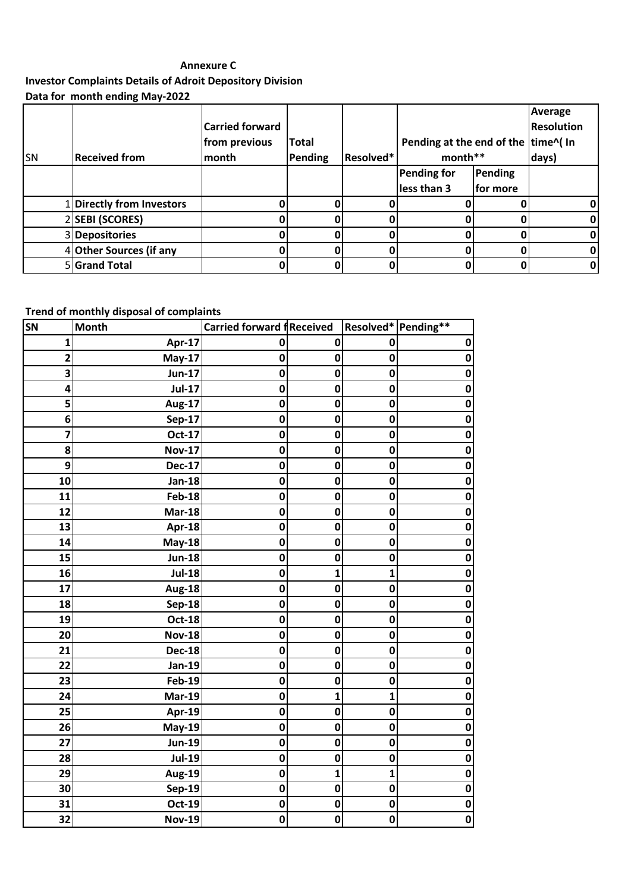## **Annexure C**

**Investor Complaints Details of Adroit Depository Division Data for month ending May-2022**

|           |                         |                        |         |           |                                     |                | Average           |
|-----------|-------------------------|------------------------|---------|-----------|-------------------------------------|----------------|-------------------|
|           |                         | <b>Carried forward</b> |         |           |                                     |                | <b>Resolution</b> |
|           |                         | from previous          | Total   |           | Pending at the end of the time^( In |                |                   |
| <b>SN</b> | <b>Received from</b>    | month                  | Pending | Resolved* | month**                             |                | days)             |
|           |                         |                        |         |           | <b>Pending for</b>                  | <b>Pending</b> |                   |
|           |                         |                        |         |           | less than 3                         | for more       |                   |
|           | Directly from Investors |                        |         |           |                                     |                | ΩI                |
|           | 2 SEBI (SCORES)         |                        |         |           |                                     |                | 01                |
|           | 3 Depositories          |                        |         |           |                                     |                | Οl                |
|           | 4 Other Sources (if any |                        |         |           |                                     |                | Οl                |
|           | 5 Grand Total           |                        |         |           |                                     |                | Οl                |

## **Trend of monthly disposal of complaints**

| <b>SN</b>               | <b>Month</b>  | Carried forward fReceived |              | Resolved* Pending** |             |
|-------------------------|---------------|---------------------------|--------------|---------------------|-------------|
| 1                       | Apr-17        | 0                         | $\mathbf 0$  | 0                   | 0           |
| $\overline{\mathbf{c}}$ | May-17        | 0                         | $\mathbf 0$  | 0                   | $\mathbf 0$ |
| 3                       | <b>Jun-17</b> | $\mathbf 0$               | $\mathbf 0$  | 0                   | $\mathbf 0$ |
| 4                       | <b>Jul-17</b> | 0                         | $\mathbf 0$  | $\mathbf 0$         | 0           |
| 5                       | <b>Aug-17</b> | 0                         | $\mathbf 0$  | $\mathbf 0$         | $\mathbf 0$ |
| 6                       | <b>Sep-17</b> | $\mathbf 0$               | $\bf{0}$     | $\mathbf 0$         | $\mathbf 0$ |
| 7                       | Oct-17        | $\mathbf 0$               | $\bf{0}$     | $\mathbf 0$         | $\mathbf 0$ |
| 8                       | <b>Nov-17</b> | $\mathbf 0$               | $\bf{0}$     | 0                   | 0           |
| 9                       | <b>Dec-17</b> | 0                         | $\mathbf 0$  | $\mathbf 0$         | $\mathbf 0$ |
| 10                      | <b>Jan-18</b> | 0                         | $\mathbf 0$  | 0                   | 0           |
| 11                      | <b>Feb-18</b> | $\mathbf 0$               | $\bf{0}$     | 0                   | 0           |
| 12                      | <b>Mar-18</b> | 0                         | $\bf{0}$     | 0                   | 0           |
| 13                      | Apr-18        | $\mathbf 0$               | $\mathbf 0$  | $\mathbf 0$         | $\mathbf 0$ |
| 14                      | <b>May-18</b> | $\mathbf 0$               | $\bf{0}$     | 0                   | $\mathbf 0$ |
| 15                      | <b>Jun-18</b> | $\mathbf 0$               | $\mathbf 0$  | 0                   | $\mathbf 0$ |
| 16                      | <b>Jul-18</b> | $\mathbf 0$               | $\mathbf{1}$ | 1                   | $\mathbf 0$ |
| 17                      | <b>Aug-18</b> | $\mathbf 0$               | $\mathbf 0$  | $\mathbf 0$         | $\mathbf 0$ |
| 18                      | <b>Sep-18</b> | 0                         | 0            | 0                   | 0           |
| 19                      | <b>Oct-18</b> | $\mathbf 0$               | $\bf{0}$     | $\mathbf 0$         | 0           |
| 20                      | <b>Nov-18</b> | $\mathbf 0$               | $\mathbf 0$  | 0                   | 0           |
| 21                      | <b>Dec-18</b> | $\mathbf 0$               | $\mathbf 0$  | $\mathbf 0$         | $\mathbf 0$ |
| 22                      | <b>Jan-19</b> | 0                         | $\mathbf 0$  | 0                   | 0           |
| 23                      | <b>Feb-19</b> | 0                         | $\mathbf 0$  | 0                   | 0           |
| 24                      | <b>Mar-19</b> | $\mathbf 0$               | 1            | 1                   | $\mathbf 0$ |
| 25                      | Apr-19        | 0                         | $\mathbf 0$  | $\mathbf 0$         | $\mathbf 0$ |
| 26                      | <b>May-19</b> | 0                         | $\bf{0}$     | 0                   | 0           |
| 27                      | <b>Jun-19</b> | 0                         | $\bf{0}$     | 0                   | 0           |
| 28                      | <b>Jul-19</b> | $\mathbf 0$               | $\mathbf 0$  | $\mathbf 0$         | $\mathbf 0$ |
| 29                      | <b>Aug-19</b> | $\mathbf 0$               | $\mathbf{1}$ | $\mathbf{1}$        | $\mathbf 0$ |
| 30                      | <b>Sep-19</b> | 0                         | $\mathbf 0$  | 0                   | $\pmb{0}$   |
| 31                      | <b>Oct-19</b> | 0                         | $\mathbf 0$  | 0                   | 0           |
| 32                      | <b>Nov-19</b> | $\pmb{0}$                 | $\mathbf 0$  | $\mathbf 0$         | $\mathbf 0$ |